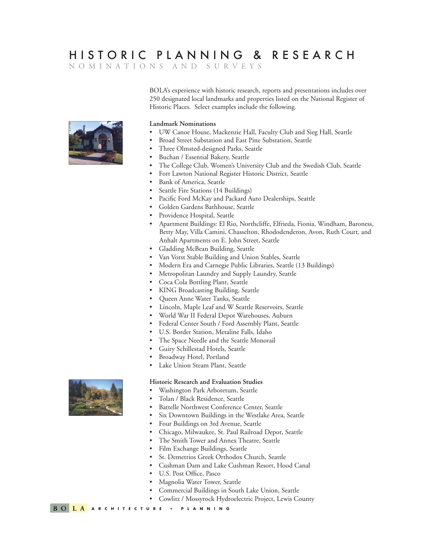## HISTORIC PLANNING & RESEARCH

NOMINATIONS AND SURVEYS

BOLA's experience with historic research, reports and presentations includes over 250 designated local landmarks and properties listed on the National Register of Historic Places. Select examples include the following.



### **Landmark Nominations**

- UW Canoe House, Mackenzie Hall, Faculty Club and Sieg Hall, Seattle
- Broad Street Substation and East Pine Substation, Seattle
- Three Olmsted-designed Parks, Seattle
- Buchan / Essential Bakery, Seattle
- The College Club, Women's University Club and the Swedish Club, Seattle
- Fort Lawton National Register Historic District, Seattle
- Bank of America, Seattle
- Seattle Fire Stations (14 Buildings)
- Pacific Ford McKay and Packard Auto Dealerships, Seattle
- Golden Gardens Bathhouse, Seattle
- Providence Hospital, Seattle
- Apartment Buildings: El Rio, Northcliffe, Elfrieda, Fionia, Windham, Baroness, Betty May, Villa Camini, Chasselton, Rhododenderon, Avon, Ruth Court, and Anhalt Apartments on E. John Street, Seattle
- Gladding McBean Building, Seattle
- Van Vorst Stable Building and Union Stables, Seattle
- Modern Era and Carnegie Public Libraries, Seattle (13 Buildings)
- Metropolitan Laundry and Supply Laundry, Seattle
- Coca Cola Bottling Plant, Seattle
- KING Broadcasting Building, Seattle
- Queen Anne Water Tanks, Seattle
- Lincoln, Maple Leaf and W Seattle Reservoirs, Seattle
- World War II Federal Depot Warehouses, Auburn
- Federal Center South / Ford Assembly Plant, Seattle
- U.S. Border Station, Metaline Falls, Idaho
- The Space Needle and the Seattle Monorail
- Guiry Schillestad Hotels, Seattle
- Broadway Hotel, Portland
- Lake Union Steam Plant, Seattle

#### **Historic Research and Evaluation Studies**

- Washington Park Arboretum, Seattle
- Tolan / Black Residence, Seattle
- Battelle Northwest Conference Center, Seattle
- Six Downtown Buildings in the Westlake Area, Seattle
- Four Buildings on 3rd Avenue, Seattle
- Chicago, Milwaukee, St. Paul Railroad Depot, Seattle
- The Smith Tower and Annex Theatre, Seattle
- Film Exchange Buildings, Seattle
- St. Demetrios Greek Orthodox Church, Seattle
- Cushman Dam and Lake Cushman Resort, Hood Canal
- U.S. Post Office, Pasco
- Magnolia Water Tower, Seattle
- Commercial Buildings in South Lake Union, Seattle
- Cowlitz / Mossyrock Hydroelectric Project, Lewis County

**BOLA** ARCHITECTURE + PLANNING

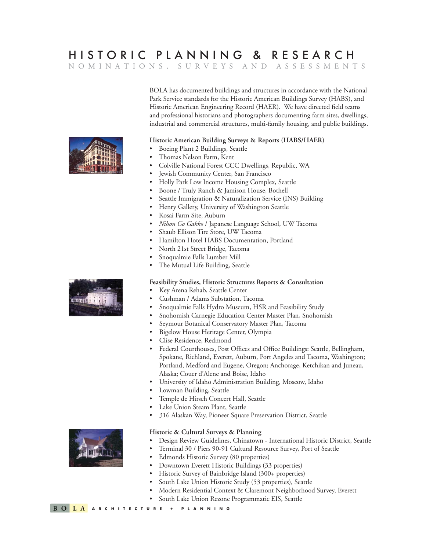### HISTORIC PLANNING & RESEARCH NOMINATIONS, SURVEYS AND ASSESSMENTS

BOLA has documented buildings and structures in accordance with the National Park Service standards for the Historic American Buildings Survey (HABS), and Historic American Engineering Record (HAER). We have directed field teams and professional historians and photographers documenting farm sites, dwellings, industrial and commercial structures, multi-family housing, and public buildings.

#### **Historic American Building Surveys & Reports (HABS/HAER)**

- Boeing Plant 2 Buildings, Seattle
- Thomas Nelson Farm, Kent
- Colville National Forest CCC Dwellings, Republic, WA
- Jewish Community Center, San Francisco
- Holly Park Low Income Housing Complex, Seattle
- Boone / Truly Ranch & Jamison House, Bothell
- Seattle Immigration & Naturalization Service (INS) Building
- Henry Gallery, University of Washington Seattle
- Kosai Farm Site, Auburn
- *Nihon Go Gakko* / Japanese Language School, UW Tacoma
- Shaub Ellison Tire Store, UW Tacoma
- Hamilton Hotel HABS Documentation, Portland
- North 21st Street Bridge, Tacoma
- Snoqualmie Falls Lumber Mill
- The Mutual Life Building, Seattle

#### **Feasibility Studies, Historic Structures Reports & Consultation**

- Key Arena Rehab, Seattle Center
- Cushman / Adams Substation, Tacoma
- Snoqualmie Falls Hydro Museum, HSR and Feasibility Study
- Snohomish Carnegie Education Center Master Plan, Snohomish
- Seymour Botanical Conservatory Master Plan, Tacoma
- Bigelow House Heritage Center, Olympia
- Clise Residence, Redmond
- Federal Courthouses, Post Offices and Office Buildings: Seattle, Bellingham, Spokane, Richland, Everett, Auburn, Port Angeles and Tacoma, Washington; Portland, Medford and Eugene, Oregon; Anchorage, Ketchikan and Juneau, Alaska; Couer d'Alene and Boise, Idaho
- University of Idaho Administration Building, Moscow, Idaho
- Lowman Building, Seattle
- Temple de Hirsch Concert Hall, Seattle
- Lake Union Steam Plant, Seattle
- 316 Alaskan Way, Pioneer Square Preservation District, Seattle

### **Historic & Cultural Surveys & Planning**

- Design Review Guidelines, Chinatown International Historic District, Seattle
- Terminal 30 / Piers 90-91 Cultural Resource Survey, Port of Seattle
- Edmonds Historic Survey (80 properties)
- Downtown Everett Historic Buildings (33 properties)
- Historic Survey of Bainbridge Island (300+ properties)
- South Lake Union Historic Study (53 properties), Seattle
- Modern Residential Context & Claremont Neighborhood Survey, Everett
- South Lake Union Rezone Programmatic EIS, Seattle



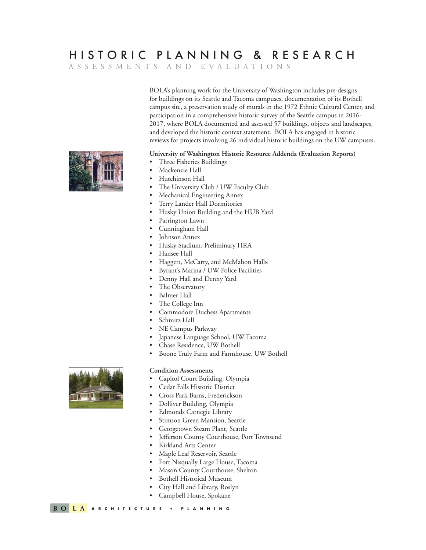# HISTORIC PLANNING & RESEARCH

ASSESSMENTS AND EVALUATIONS

BOLA's planning work for the University of Washington includes pre-designs for buildings on its Seattle and Tacoma campuses, documentation of its Bothell campus site, a preservation study of murals in the 1972 Ethnic Cultural Center, and participation in a comprehensive historic survey of the Seattle campus in 2016- 2017, where BOLA documented and assessed 57 buildings, objects and landscapes, and developed the historic context statement. BOLA has engaged in historic reviews for projects involving 26 individual historic buildings on the UW campuses.

### **University of Washington Historic Resource Addenda (Evaluation Reports)**

- Three Fisheries Buildings
- Mackenzie Hall
- Hutchinson Hall
- The University Club / UW Faculty Club
- Mechanical Engineering Annex
- Terry Lander Hall Dormitories
- Husky Union Building and the HUB Yard
- Parrington Lawn
- Cunningham Hall
- Johnson Annex
- Husky Stadium, Preliminary HRA
- Hansee Hall
- Haggett, McCarty, and McMahon Halls
- Byrant's Marina / UW Police Facilities
- Denny Hall and Denny Yard
- The Observatory
- Balmer Hall
- The College Inn
- Commodore Duchess Apartments
- Schmitz Hall
- NE Campus Parkway
- Japanese Language School, UW Tacoma
- Chase Residence, UW Bothell
- Boone Truly Farm and Farmhouse, UW Bothell

#### **Condition Assessments**

- Capitol Court Building, Olympia
- Cedar Falls Historic District
- Cross Park Barns, Frederickson
- Dolliver Building, Olympia
- Edmonds Carnegie Library
- Stimson Green Mansion, Seattle
- Georgetown Steam Plant, Seattle
- Jefferson County Courthouse, Port Townsend
- Kirkland Arts Center
- Maple Leaf Reservoir, Seattle
- Fort Nisqually Large House, Tacoma
- Mason County Courthouse, Shelton
- Bothell Historical Museum
- City Hall and Library, Roslyn
- Campbell House, Spokane